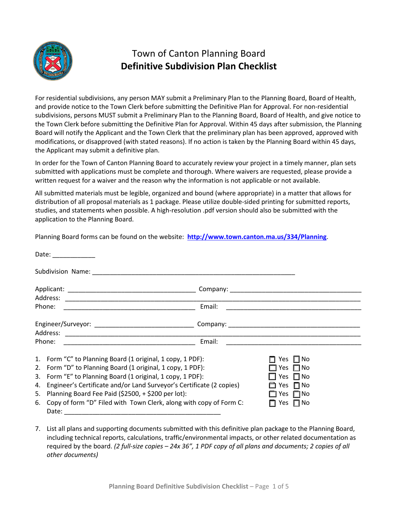

# Town of Canton Planning Board **Definitive Subdivision Plan Checklist**

For residential subdivisions, any person MAY submit a Preliminary Plan to the Planning Board, Board of Health, and provide notice to the Town Clerk before submitting the Definitive Plan for Approval. For non-residential subdivisions, persons MUST submit a Preliminary Plan to the Planning Board, Board of Health, and give notice to the Town Clerk before submitting the Definitive Plan for Approval. Within 45 days after submission, the Planning Board will notify the Applicant and the Town Clerk that the preliminary plan has been approved, approved with modifications, or disapproved (with stated reasons). If no action is taken by the Planning Board within 45 days, the Applicant may submit a definitive plan.

In order for the Town of Canton Planning Board to accurately review your project in a timely manner, plan sets submitted with applications must be complete and thorough. Where waivers are requested, please provide a written request for a waiver and the reason why the information is not applicable or not available.

All submitted materials must be legible, organized and bound (where appropriate) in a matter that allows for distribution of all proposal materials as 1 package. Please utilize double-sided printing for submitted reports, studies, and statements when possible. A high-resolution .pdf version should also be submitted with the application to the Planning Board.

Planning Board forms can be found on the website: **<http://www.town.canton.ma.us/334/Planning>**.

| Date: _____________                                                                                                                                                                                                                                                                                                                                                                                                |  |                                                                                       |
|--------------------------------------------------------------------------------------------------------------------------------------------------------------------------------------------------------------------------------------------------------------------------------------------------------------------------------------------------------------------------------------------------------------------|--|---------------------------------------------------------------------------------------|
|                                                                                                                                                                                                                                                                                                                                                                                                                    |  |                                                                                       |
|                                                                                                                                                                                                                                                                                                                                                                                                                    |  |                                                                                       |
| Phone:                                                                                                                                                                                                                                                                                                                                                                                                             |  | Email:<br><u> 1980 - Johann Barn, fransk politik (f. 1980)</u>                        |
|                                                                                                                                                                                                                                                                                                                                                                                                                    |  |                                                                                       |
| Phone:                                                                                                                                                                                                                                                                                                                                                                                                             |  | Email:                                                                                |
| 1. Form "C" to Planning Board (1 original, 1 copy, 1 PDF):<br>2. Form "D" to Planning Board (1 original, 1 copy, 1 PDF):<br>3. Form "E" to Planning Board (1 original, 1 copy, 1 PDF):<br>Engineer's Certificate and/or Land Surveyor's Certificate (2 copies)<br>4.<br>Planning Board Fee Paid (\$2500, + \$200 per lot):<br>5.<br>6. Copy of form "D" Filed with Town Clerk, along with copy of Form C:<br>Date: |  | □ Yes □ No<br>∃Yes □No<br>Yes $\Box$ No<br>Yes $\Box$ No<br>∃Yes ∏No<br>Yes $\Box$ No |

7. List all plans and supporting documents submitted with this definitive plan package to the Planning Board, including technical reports, calculations, traffic/environmental impacts, or other related documentation as required by the board. *(2 full-size copies – 24x 36", 1 PDF copy of all plans and documents; 2 copies of all other documents)*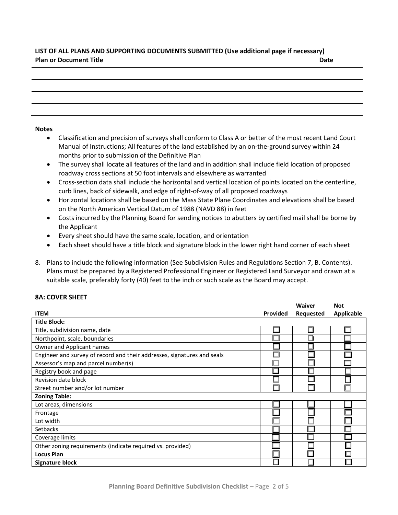## **LIST OF ALL PLANS AND SUPPORTING DOCUMENTS SUBMITTED (Use additional page if necessary) Plan or Document Title Date**

### **Notes**

- Classification and precision of surveys shall conform to Class A or better of the most recent Land Court Manual of Instructions; All features of the land established by an on-the-ground survey within 24 months prior to submission of the Definitive Plan
- The survey shall locate all features of the land and in addition shall include field location of proposed roadway cross sections at 50 foot intervals and elsewhere as warranted
- Cross-section data shall include the horizontal and vertical location of points located on the centerline, curb lines, back of sidewalk, and edge of right-of-way of all proposed roadways
- Horizontal locations shall be based on the Mass State Plane Coordinates and elevations shall be based on the North American Vertical Datum of 1988 (NAVD 88) in feet
- Costs incurred by the Planning Board for sending notices to abutters by certified mail shall be borne by the Applicant
- Every sheet should have the same scale, location, and orientation
- Each sheet should have a title block and signature block in the lower right hand corner of each sheet
- 8. Plans to include the following information (See Subdivision Rules and Regulations Section 7, B. Contents). Plans must be prepared by a Registered Professional Engineer or Registered Land Surveyor and drawn at a suitable scale, preferably forty (40) feet to the inch or such scale as the Board may accept.

## **8A: COVER SHEET**

|                                                                         |                 | Waiver    | <b>Not</b>        |
|-------------------------------------------------------------------------|-----------------|-----------|-------------------|
| <b>ITEM</b>                                                             | <b>Provided</b> | Requested | <b>Applicable</b> |
| <b>Title Block:</b>                                                     |                 |           |                   |
| Title, subdivision name, date                                           |                 |           |                   |
| Northpoint, scale, boundaries                                           |                 |           |                   |
| Owner and Applicant names                                               |                 |           |                   |
| Engineer and survey of record and their addresses, signatures and seals |                 |           |                   |
| Assessor's map and parcel number(s)                                     |                 |           |                   |
| Registry book and page                                                  |                 |           |                   |
| Revision date block                                                     |                 |           |                   |
| Street number and/or lot number                                         |                 |           |                   |
| <b>Zoning Table:</b>                                                    |                 |           |                   |
| Lot areas, dimensions                                                   |                 |           |                   |
| Frontage                                                                |                 |           |                   |
| Lot width                                                               |                 |           |                   |
| <b>Setbacks</b>                                                         |                 |           |                   |
| Coverage limits                                                         |                 |           |                   |
| Other zoning requirements (indicate required vs. provided)              |                 |           |                   |
| <b>Locus Plan</b>                                                       |                 |           |                   |
| <b>Signature block</b>                                                  |                 |           |                   |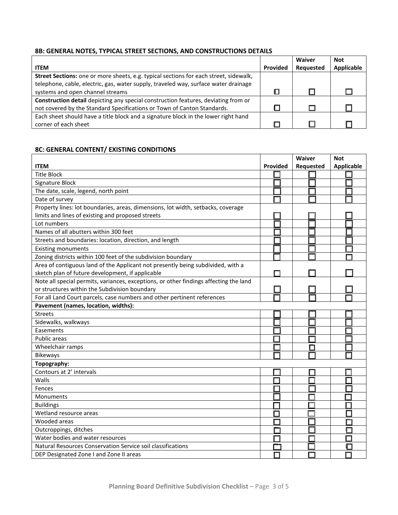# **8B: GENERAL NOTES, TYPICAL STREET SECTIONS, AND CONSTRUCTIONS DETAILS**

|                                                                                              |          | <b>Waiver</b> | <b>Not</b> |
|----------------------------------------------------------------------------------------------|----------|---------------|------------|
| <b>ITEM</b>                                                                                  | Provided | Requested     | Applicable |
| <b>Street Sections:</b> one or more sheets, e.g. typical sections for each street, sidewalk, |          |               |            |
| telephone, cable, electric, gas, water supply, traveled way, surface water drainage          |          |               |            |
| systems and open channel streams                                                             |          |               |            |
| Construction detail depicting any special construction features, deviating from or           |          |               |            |
| not covered by the Standard Specifications or Town of Canton Standards.                      |          |               |            |
| Each sheet should have a title block and a signature block in the lower right hand           |          |               |            |
| corner of each sheet                                                                         |          |               |            |

# **8C: GENERAL CONTENT/ EXISTING CONDITIONS**

|                                                                                       |          | Waiver    | <b>Not</b>        |
|---------------------------------------------------------------------------------------|----------|-----------|-------------------|
| <b>ITEM</b>                                                                           | Provided | Requested | <b>Applicable</b> |
| <b>Title Block</b>                                                                    |          |           |                   |
| Signature Block                                                                       |          |           |                   |
| The date, scale, legend, north point                                                  |          |           |                   |
| Date of survey                                                                        |          |           |                   |
| Property lines: lot boundaries, areas, dimensions, lot width, setbacks, coverage      |          |           |                   |
| limits and lines of existing and proposed streets                                     |          |           |                   |
| Lot numbers                                                                           |          |           |                   |
| Names of all abutters within 300 feet                                                 |          |           |                   |
| Streets and boundaries: location, direction, and length                               |          |           |                   |
| <b>Existing monuments</b>                                                             |          |           |                   |
| Zoning districts within 100 feet of the subdivision boundary                          |          |           |                   |
| Area of contiguous land of the Applicant not presently being subdivided, with a       |          |           |                   |
| sketch plan of future development, if applicable                                      |          |           |                   |
| Note all special permits, variances, exceptions, or other findings affecting the land |          |           |                   |
| or structures within the Subdivision boundary                                         |          |           |                   |
| For all Land Court parcels, case numbers and other pertinent references               |          |           |                   |
| Pavement (names, location, widths):                                                   |          |           |                   |
| <b>Streets</b>                                                                        |          |           |                   |
| Sidewalks, walkways                                                                   |          |           |                   |
| Easements                                                                             |          |           |                   |
| Public areas                                                                          |          |           |                   |
| Wheelchair ramps                                                                      |          |           |                   |
| <b>Bikeways</b>                                                                       |          |           |                   |
| Topography:                                                                           |          |           |                   |
| Contours at 2' intervals                                                              |          |           |                   |
| Walls                                                                                 |          |           |                   |
| Fences                                                                                |          |           |                   |
| Monuments                                                                             |          |           |                   |
| <b>Buildings</b>                                                                      |          |           |                   |
| Wetland resource areas                                                                |          |           |                   |
| Wooded areas                                                                          |          |           |                   |
| Outcroppings, ditches                                                                 |          |           |                   |
| Water bodies and water resources                                                      |          |           |                   |
| Natural Resources Conservation Service soil classifications                           |          |           |                   |
| DEP Designated Zone I and Zone II areas                                               |          |           |                   |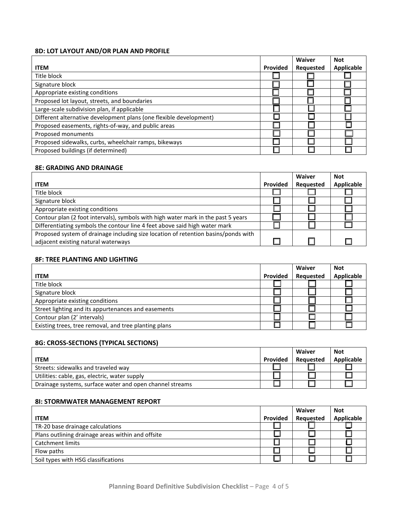## **8D: LOT LAYOUT AND/OR PLAN AND PROFILE**

|                                                                    |          | Waiver    | <b>Not</b> |
|--------------------------------------------------------------------|----------|-----------|------------|
| <b>ITEM</b>                                                        | Provided | Requested | Applicable |
| Title block                                                        |          |           |            |
| Signature block                                                    |          |           |            |
| Appropriate existing conditions                                    |          |           |            |
| Proposed lot layout, streets, and boundaries                       |          |           |            |
| Large-scale subdivision plan, if applicable                        |          |           |            |
| Different alternative development plans (one flexible development) |          |           |            |
| Proposed easements, rights-of-way, and public areas                |          |           |            |
| Proposed monuments                                                 |          |           |            |
| Proposed sidewalks, curbs, wheelchair ramps, bikeways              |          |           |            |
| Proposed buildings (if determined)                                 |          |           |            |

#### **8E: GRADING AND DRAINAGE**

|                                                                                    |                 | <b>Waiver</b> | <b>Not</b>        |
|------------------------------------------------------------------------------------|-----------------|---------------|-------------------|
| <b>ITEM</b>                                                                        | <b>Provided</b> | Requested     | <b>Applicable</b> |
| Title block                                                                        |                 |               |                   |
| Signature block                                                                    |                 |               |                   |
| Appropriate existing conditions                                                    |                 |               |                   |
| Contour plan (2 foot intervals), symbols with high water mark in the past 5 years  |                 |               |                   |
| Differentiating symbols the contour line 4 feet above said high water mark         |                 |               |                   |
| Proposed system of drainage including size location of retention basins/ponds with |                 |               |                   |
| adjacent existing natural waterways                                                |                 |               |                   |

#### **8F: TREE PLANTING AND LIGHTING**

|                                                       |                 | Waiver    | <b>Not</b>        |
|-------------------------------------------------------|-----------------|-----------|-------------------|
| <b>ITEM</b>                                           | <b>Provided</b> | Requested | <b>Applicable</b> |
| Title block                                           |                 |           |                   |
| Signature block                                       |                 |           |                   |
| Appropriate existing conditions                       |                 |           |                   |
| Street lighting and its appurtenances and easements   |                 |           |                   |
| Contour plan (2' intervals)                           |                 |           |                   |
| Existing trees, tree removal, and tree planting plans |                 |           |                   |

## **8G: CROSS-SECTIONS (TYPICAL SECTIONS)**

|                                                          |          | Waiver           | <b>Not</b> |
|----------------------------------------------------------|----------|------------------|------------|
| <b>ITEM</b>                                              | Provided | <b>Requested</b> | Applicable |
| Streets: sidewalks and traveled way                      |          |                  |            |
| Utilities: cable, gas, electric, water supply            |          |                  |            |
| Drainage systems, surface water and open channel streams |          |                  |            |

#### **8I: STORMWATER MANAGEMENT REPORT**

|                                                   |                 | Waiver    | Not               |
|---------------------------------------------------|-----------------|-----------|-------------------|
| <b>ITEM</b>                                       | <b>Provided</b> | Requested | <b>Applicable</b> |
| TR-20 base drainage calculations                  |                 |           |                   |
| Plans outlining drainage areas within and offsite |                 |           |                   |
| Catchment limits                                  |                 |           |                   |
| Flow paths                                        |                 |           |                   |
| Soil types with HSG classifications               |                 |           |                   |